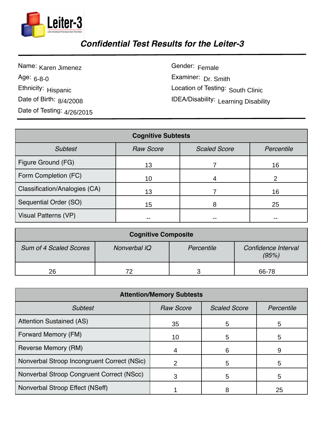

## *Confidential Test Results for the Leiter-3*

Name: Karen Jimenez Age: <sub>6-8-0</sub> Ethnicity: Hispanic Date of Birth: 8/4/2008 Date of Testing: 4/26/2015

Gender: Female Examiner: Dr. Smith Location of Testing: South Clinic IDEA/Disability: 14.4/26/2015<br>
49.4/26/2015<br>
24.4/26/2015<br>
24.4/26/2015<br>
24.4/26/2015<br>
24.4/26/2015

| <b>Cognitive Subtests</b>     |                  |                     |            |  |  |  |  |
|-------------------------------|------------------|---------------------|------------|--|--|--|--|
| <b>Subtest</b>                | <b>Raw Score</b> | <b>Scaled Score</b> | Percentile |  |  |  |  |
| Figure Ground (FG)            | 13               |                     | 16         |  |  |  |  |
| Form Completion (FC)          | 10               |                     | າ          |  |  |  |  |
| Classification/Analogies (CA) | 13               |                     | 16         |  |  |  |  |
| Sequential Order (SO)         | 15               | 8                   | 25         |  |  |  |  |
| Visual Patterns (VP)          |                  |                     |            |  |  |  |  |

| <b>Cognitive Composite</b>    |              |            |                              |  |  |
|-------------------------------|--------------|------------|------------------------------|--|--|
| <b>Sum of 4 Scaled Scores</b> | Nonverbal IQ | Percentile | Confidence Interval<br>(95%) |  |  |
| 26                            | 70           |            | 66-78                        |  |  |

| <b>Attention/Memory Subtests</b>            |                  |                     |    |  |  |  |
|---------------------------------------------|------------------|---------------------|----|--|--|--|
| <b>Subtest</b>                              | <b>Raw Score</b> | <b>Scaled Score</b> |    |  |  |  |
| <b>Attention Sustained (AS)</b>             | 35               | 5                   | 5  |  |  |  |
| Forward Memory (FM)                         | 10               | 5                   | 5  |  |  |  |
| Reverse Memory (RM)                         | 4                | 6                   | 9  |  |  |  |
| Nonverbal Stroop Incongruent Correct (NSic) |                  | 5                   | 5  |  |  |  |
| Nonverbal Stroop Congruent Correct (NScc)   |                  | 5                   | 5  |  |  |  |
| Nonverbal Stroop Effect (NSeff)             |                  | 8                   | 25 |  |  |  |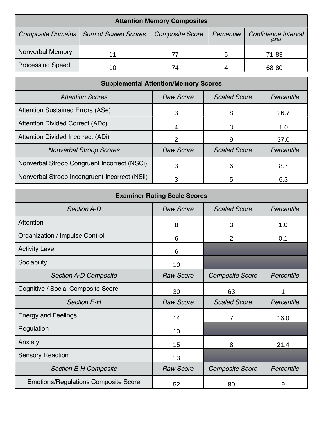| <b>Attention Memory Composites</b> |                                          |                        |            |                              |  |  |  |
|------------------------------------|------------------------------------------|------------------------|------------|------------------------------|--|--|--|
|                                    | Composite Domains   Sum of Scaled Scores | <b>Composite Score</b> | Percentile | Confidence Interval<br>(95%) |  |  |  |
| Nonverbal Memory                   |                                          |                        | 6          | 71-83                        |  |  |  |
| <b>Processing Speed</b>            | 10                                       | 74                     |            | 68-80                        |  |  |  |

| <b>Supplemental Attention/Memory Scores</b>   |                  |                     |            |  |  |  |
|-----------------------------------------------|------------------|---------------------|------------|--|--|--|
| <b>Attention Scores</b>                       | <b>Raw Score</b> | <b>Scaled Score</b> | Percentile |  |  |  |
| <b>Attention Sustained Errors (ASe)</b>       | З                | 8                   | 26.7       |  |  |  |
| <b>Attention Divided Correct (ADc)</b>        |                  |                     | 1.0        |  |  |  |
| Attention Divided Incorrect (ADi)             | 2                | 9                   | 37.0       |  |  |  |
| <b>Nonverbal Stroop Scores</b>                | <b>Raw Score</b> | <b>Scaled Score</b> | Percentile |  |  |  |
| Nonverbal Stroop Congruent Incorrect (NSCi)   |                  | 6                   | 8.7        |  |  |  |
| Nonverbal Stroop Incongruent Incorrect (NSii) |                  | 5                   | 6.3        |  |  |  |

| <b>Examiner Rating Scale Scores</b>         |                  |                        |            |  |  |  |
|---------------------------------------------|------------------|------------------------|------------|--|--|--|
| <b>Section A-D</b>                          | <b>Raw Score</b> | <b>Scaled Score</b>    | Percentile |  |  |  |
| <b>Attention</b>                            | 8                | 3                      | 1.0        |  |  |  |
| Organization / Impulse Control              | 6                | $\overline{2}$         | 0.1        |  |  |  |
| <b>Activity Level</b>                       | 6                |                        |            |  |  |  |
| Sociability                                 | 10 <sup>1</sup>  |                        |            |  |  |  |
| <b>Section A-D Composite</b>                | <b>Raw Score</b> | <b>Composite Score</b> | Percentile |  |  |  |
| Cognitive / Social Composite Score          | 30               | 63                     | 1          |  |  |  |
| <b>Section E-H</b>                          | <b>Raw Score</b> | <b>Scaled Score</b>    | Percentile |  |  |  |
| <b>Energy and Feelings</b>                  | 14               | 7                      | 16.0       |  |  |  |
| Regulation                                  | 10               |                        |            |  |  |  |
| Anxiety                                     | 15               | 8                      | 21.4       |  |  |  |
| <b>Sensory Reaction</b>                     | 13               |                        |            |  |  |  |
| <b>Section E-H Composite</b>                | <b>Raw Score</b> | <b>Composite Score</b> | Percentile |  |  |  |
| <b>Emotions/Regulations Composite Score</b> | 52               | 80                     | 9          |  |  |  |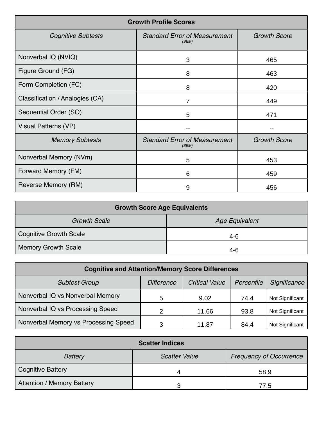| <b>Growth Profile Scores</b>    |                                               |                     |  |  |  |
|---------------------------------|-----------------------------------------------|---------------------|--|--|--|
| <b>Cognitive Subtests</b>       | <b>Standard Error of Measurement</b><br>(SEM) | <b>Growth Score</b> |  |  |  |
| Nonverbal IQ (NVIQ)             | 3                                             | 465                 |  |  |  |
| Figure Ground (FG)              | 8                                             | 463                 |  |  |  |
| Form Completion (FC)            | 8                                             | 420                 |  |  |  |
| Classification / Analogies (CA) | 7                                             | 449                 |  |  |  |
| Sequential Order (SO)           | 5                                             | 471                 |  |  |  |
| Visual Patterns (VP)            |                                               | --                  |  |  |  |
| <b>Memory Subtests</b>          | <b>Standard Error of Measurement</b><br>(SEM) | <b>Growth Score</b> |  |  |  |
| Nonverbal Memory (NVm)          | 5                                             | 453                 |  |  |  |
| Forward Memory (FM)             | 6                                             | 459                 |  |  |  |
| Reverse Memory (RM)             | 9                                             | 456                 |  |  |  |

| <b>Growth Score Age Equivalents</b> |                       |  |  |  |  |
|-------------------------------------|-----------------------|--|--|--|--|
| <b>Growth Scale</b>                 | <b>Age Equivalent</b> |  |  |  |  |
| Cognitive Growth Scale              | $4-6$                 |  |  |  |  |
| Memory Growth Scale                 | $4-6$                 |  |  |  |  |

| <b>Cognitive and Attention/Memory Score Differences</b> |                   |                       |            |                 |  |  |
|---------------------------------------------------------|-------------------|-----------------------|------------|-----------------|--|--|
| <b>Subtest Group</b>                                    | <b>Difference</b> | <b>Critical Value</b> | Percentile | Significance    |  |  |
| Nonverbal IQ vs Nonverbal Memory                        | 5                 | 9.02                  | 74.4       | Not Significant |  |  |
| Nonverbal IQ vs Processing Speed                        | C                 | 11.66                 | 93.8       | Not Significant |  |  |
| Nonverbal Memory vs Processing Speed                    | າ                 | 11.87                 | 84.4       | Not Significant |  |  |

| <b>Scatter Indices</b>     |                      |                                |  |  |  |  |
|----------------------------|----------------------|--------------------------------|--|--|--|--|
| <b>Battery</b>             | <b>Scatter Value</b> | <b>Frequency of Occurrence</b> |  |  |  |  |
| Cognitive Battery          |                      | 58.9                           |  |  |  |  |
| Attention / Memory Battery |                      | 77.5                           |  |  |  |  |